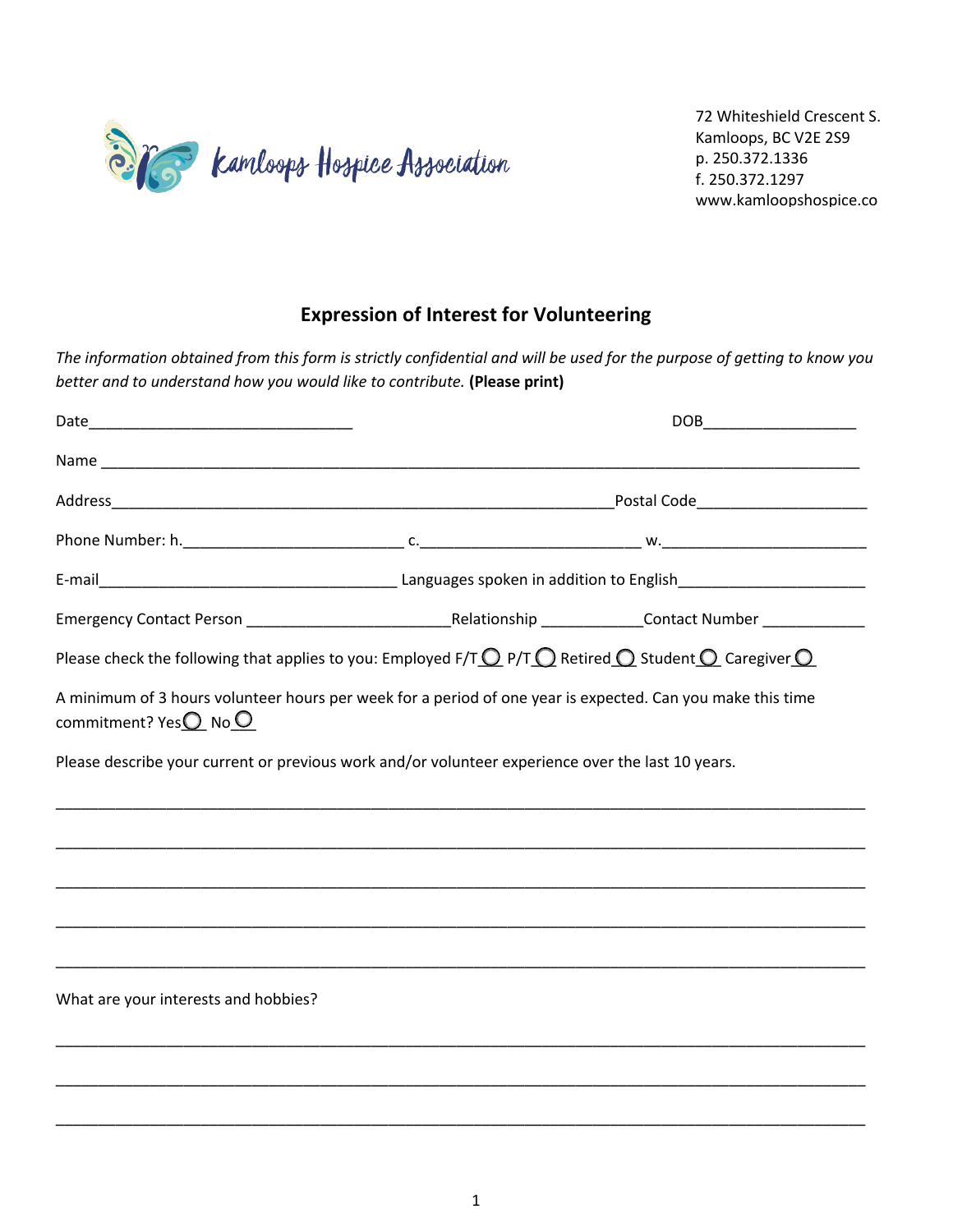

72 Whiteshield Crescent S. Kamloops, BC V2E 2S9 p. 250.372.1336 f. 250.372.1297 www.kamloopshospice.co

## **Expression of Interest for Volunteering**

*The information obtained from this form is strictly confidential and will be used for the purpose of getting to know you better and to understand how you would like to contribute.* **(Please print)**

|                                                                                                                                                   |  | DOB_________________________ |  |  |
|---------------------------------------------------------------------------------------------------------------------------------------------------|--|------------------------------|--|--|
|                                                                                                                                                   |  |                              |  |  |
|                                                                                                                                                   |  |                              |  |  |
|                                                                                                                                                   |  |                              |  |  |
|                                                                                                                                                   |  |                              |  |  |
|                                                                                                                                                   |  |                              |  |  |
| Please check the following that applies to you: Employed F/T $\bigcirc$ P/T $\bigcirc$ Retired $\bigcirc$ Student $\bigcirc$ Caregiver $\bigcirc$ |  |                              |  |  |
| A minimum of 3 hours volunteer hours per week for a period of one year is expected. Can you make this time<br>commitment? Yes $O$ No $O$          |  |                              |  |  |
| Please describe your current or previous work and/or volunteer experience over the last 10 years.                                                 |  |                              |  |  |
|                                                                                                                                                   |  |                              |  |  |
|                                                                                                                                                   |  |                              |  |  |
|                                                                                                                                                   |  |                              |  |  |
|                                                                                                                                                   |  |                              |  |  |
| What are your interests and hobbies?                                                                                                              |  |                              |  |  |
|                                                                                                                                                   |  |                              |  |  |
|                                                                                                                                                   |  |                              |  |  |
|                                                                                                                                                   |  |                              |  |  |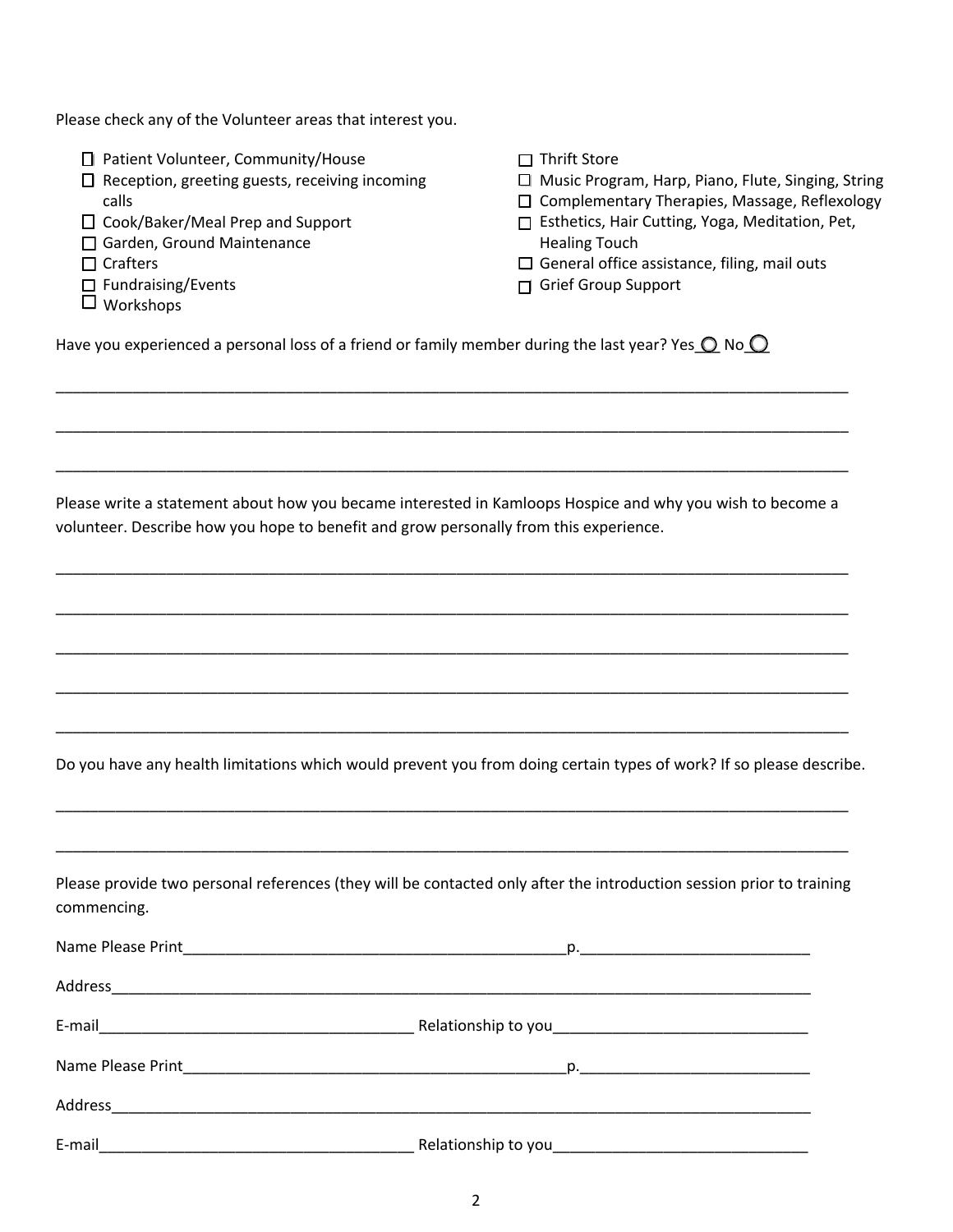Please check any of the Volunteer areas that interest you.

|  | □ Patient Volunteer, Community/House |  |
|--|--------------------------------------|--|
|  |                                      |  |

- $\square$  Reception, greeting guests, receiving incoming calls
- □ Cook/Baker/Meal Prep and Support
- □ Garden, Ground Maintenance
- $\Box$  Crafters
- $\square$  Fundraising/Events
- Workshops
- $\Box$  Thrift Store
- □ Music Program, Harp, Piano, Flute, Singing, String
- □ Complementary Therapies, Massage, Reflexology
- □ Esthetics, Hair Cutting, Yoga, Meditation, Pet, Healing Touch
- $\square$  General office assistance, filing, mail outs
- Grief Group Support

Have you experienced a personal loss of a friend or family member during the last year? Yes  $\bigcirc$  No  $\bigcirc$ 

Please write a statement about how you became interested in Kamloops Hospice and why you wish to become a volunteer. Describe how you hope to benefit and grow personally from this experience.

\_\_\_\_\_\_\_\_\_\_\_\_\_\_\_\_\_\_\_\_\_\_\_\_\_\_\_\_\_\_\_\_\_\_\_\_\_\_\_\_\_\_\_\_\_\_\_\_\_\_\_\_\_\_\_\_\_\_\_\_\_\_\_\_\_\_\_\_\_\_\_\_\_\_\_\_\_\_\_\_\_\_\_\_\_\_\_\_\_\_\_\_\_

\_\_\_\_\_\_\_\_\_\_\_\_\_\_\_\_\_\_\_\_\_\_\_\_\_\_\_\_\_\_\_\_\_\_\_\_\_\_\_\_\_\_\_\_\_\_\_\_\_\_\_\_\_\_\_\_\_\_\_\_\_\_\_\_\_\_\_\_\_\_\_\_\_\_\_\_\_\_\_\_\_\_\_\_\_\_\_\_\_\_\_\_\_

\_\_\_\_\_\_\_\_\_\_\_\_\_\_\_\_\_\_\_\_\_\_\_\_\_\_\_\_\_\_\_\_\_\_\_\_\_\_\_\_\_\_\_\_\_\_\_\_\_\_\_\_\_\_\_\_\_\_\_\_\_\_\_\_\_\_\_\_\_\_\_\_\_\_\_\_\_\_\_\_\_\_\_\_\_\_\_\_\_\_\_\_\_

\_\_\_\_\_\_\_\_\_\_\_\_\_\_\_\_\_\_\_\_\_\_\_\_\_\_\_\_\_\_\_\_\_\_\_\_\_\_\_\_\_\_\_\_\_\_\_\_\_\_\_\_\_\_\_\_\_\_\_\_\_\_\_\_\_\_\_\_\_\_\_\_\_\_\_\_\_\_\_\_\_\_\_\_\_\_\_\_\_\_\_\_\_

\_\_\_\_\_\_\_\_\_\_\_\_\_\_\_\_\_\_\_\_\_\_\_\_\_\_\_\_\_\_\_\_\_\_\_\_\_\_\_\_\_\_\_\_\_\_\_\_\_\_\_\_\_\_\_\_\_\_\_\_\_\_\_\_\_\_\_\_\_\_\_\_\_\_\_\_\_\_\_\_\_\_\_\_\_\_\_\_\_\_\_\_\_

\_\_\_\_\_\_\_\_\_\_\_\_\_\_\_\_\_\_\_\_\_\_\_\_\_\_\_\_\_\_\_\_\_\_\_\_\_\_\_\_\_\_\_\_\_\_\_\_\_\_\_\_\_\_\_\_\_\_\_\_\_\_\_\_\_\_\_\_\_\_\_\_\_\_\_\_\_\_\_\_\_\_\_\_\_\_\_\_\_\_\_\_\_

\_\_\_\_\_\_\_\_\_\_\_\_\_\_\_\_\_\_\_\_\_\_\_\_\_\_\_\_\_\_\_\_\_\_\_\_\_\_\_\_\_\_\_\_\_\_\_\_\_\_\_\_\_\_\_\_\_\_\_\_\_\_\_\_\_\_\_\_\_\_\_\_\_\_\_\_\_\_\_\_\_\_\_\_\_\_\_\_\_\_\_\_\_

\_\_\_\_\_\_\_\_\_\_\_\_\_\_\_\_\_\_\_\_\_\_\_\_\_\_\_\_\_\_\_\_\_\_\_\_\_\_\_\_\_\_\_\_\_\_\_\_\_\_\_\_\_\_\_\_\_\_\_\_\_\_\_\_\_\_\_\_\_\_\_\_\_\_\_\_\_\_\_\_\_\_\_\_\_\_\_\_\_\_\_\_\_

\_\_\_\_\_\_\_\_\_\_\_\_\_\_\_\_\_\_\_\_\_\_\_\_\_\_\_\_\_\_\_\_\_\_\_\_\_\_\_\_\_\_\_\_\_\_\_\_\_\_\_\_\_\_\_\_\_\_\_\_\_\_\_\_\_\_\_\_\_\_\_\_\_\_\_\_\_\_\_\_\_\_\_\_\_\_\_\_\_\_\_\_\_

\_\_\_\_\_\_\_\_\_\_\_\_\_\_\_\_\_\_\_\_\_\_\_\_\_\_\_\_\_\_\_\_\_\_\_\_\_\_\_\_\_\_\_\_\_\_\_\_\_\_\_\_\_\_\_\_\_\_\_\_\_\_\_\_\_\_\_\_\_\_\_\_\_\_\_\_\_\_\_\_\_\_\_\_\_\_\_\_\_\_\_\_\_

Do you have any health limitations which would prevent you from doing certain types of work? If so please describe.

Please provide two personal references (they will be contacted only after the introduction session prior to training commencing.

| E-mail |  |
|--------|--|